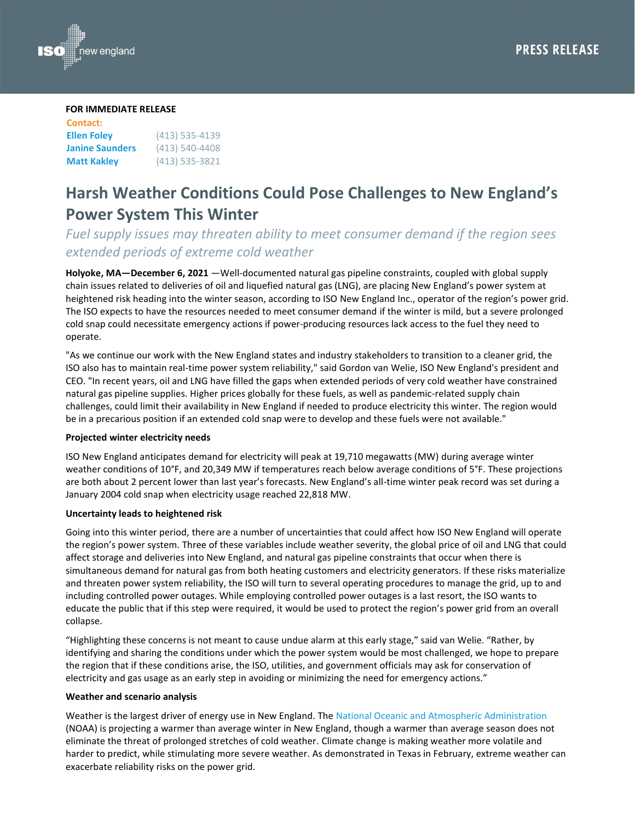

#### **FOR IMMEDIATE RELEASE**

| <b>Contact:</b>        |                    |
|------------------------|--------------------|
| <b>Ellen Foley</b>     | $(413)$ 535-4139   |
| <b>Janine Saunders</b> | $(413) 540 - 4408$ |
| <b>Matt Kakley</b>     | $(413)$ 535-3821   |

# **Harsh Weather Conditions Could Pose Challenges to New England's Power System This Winter**

# *Fuel supply issues may threaten ability to meet consumer demand if the region sees extended periods of extreme cold weather*

**Holyoke, MA—December 6, 2021** —Well-documented natural gas pipeline constraints, coupled with global supply chain issues related to deliveries of oil and liquefied natural gas (LNG), are placing New England's power system at heightened risk heading into the winter season, according to ISO New England Inc., operator of the region's power grid. The ISO expects to have the resources needed to meet consumer demand if the winter is mild, but a severe prolonged cold snap could necessitate emergency actions if power-producing resources lack access to the fuel they need to operate.

"As we continue our work with the New England states and industry stakeholders to transition to a cleaner grid, the ISO also has to maintain real-time power system reliability," said Gordon van Welie, ISO New England's president and CEO. "In recent years, oil and LNG have filled the gaps when extended periods of very cold weather have constrained natural gas pipeline supplies. Higher prices globally for these fuels, as well as pandemic-related supply chain challenges, could limit their availability in New England if needed to produce electricity this winter. The region would be in a precarious position if an extended cold snap were to develop and these fuels were not available."

## **Projected winter electricity needs**

ISO New England anticipates demand for electricity will peak at 19,710 megawatts (MW) during average winter weather conditions of 10°F, and 20,349 MW if temperatures reach below average conditions of 5°F. These projections are both about 2 percent lower than last year's forecasts. New England's all-time winter peak record was set during a January 2004 cold snap when electricity usage reached 22,818 MW.

### **Uncertainty leads to heightened risk**

Going into this winter period, there are a number of uncertainties that could affect how ISO New England will operate the region's power system. Three of these variables include weather severity, the global price of oil and LNG that could affect storage and deliveries into New England, and natural gas pipeline constraints that occur when there is simultaneous demand for natural gas from both heating customers and electricity generators. If these risks materialize and threaten power system reliability, the ISO will turn to several operating procedures to manage the grid, up to and including controlled power outages. While employing controlled power outages is a last resort, the ISO wants to educate the public that if this step were required, it would be used to protect the region's power grid from an overall collapse.

"Highlighting these concerns is not meant to cause undue alarm at this early stage," said van Welie. "Rather, by identifying and sharing the conditions under which the power system would be most challenged, we hope to prepare the region that if these conditions arise, the ISO, utilities, and government officials may ask for conservation of electricity and gas usage as an early step in avoiding or minimizing the need for emergency actions."

#### **Weather and scenario analysis**

Weather is the largest driver of energy use in New England. The National Oceanic [and Atmospheric Administration](https://www.noaa.gov/news-release/us-winter-outlook-drier-warmer-south-wetter-north-with-return-of-la-nina) (NOAA) is projecting a warmer than average winter in New England, though a warmer than average season does not eliminate the threat of prolonged stretches of cold weather. Climate change is making weather more volatile and harder to predict, while stimulating more severe weather. As demonstrated in Texas in February, extreme weather can exacerbate reliability risks on the power grid.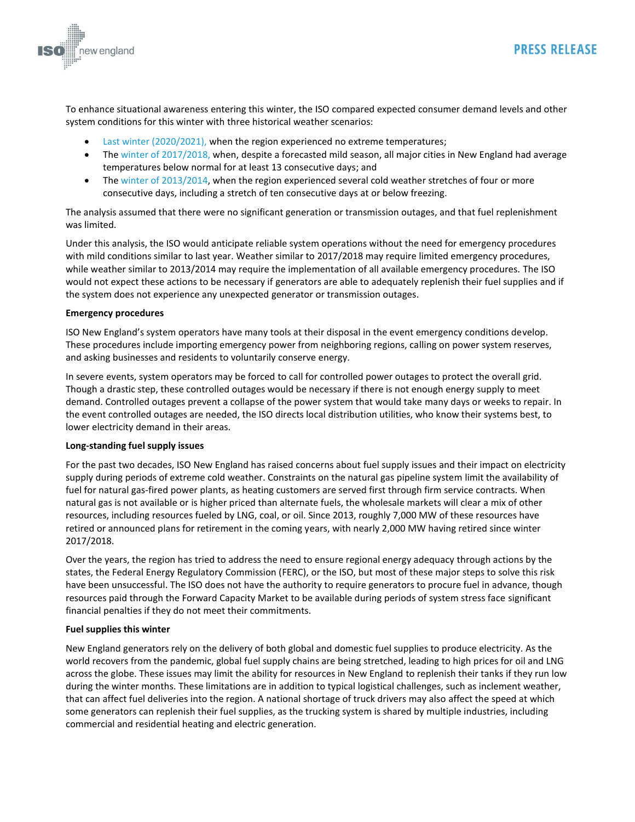

To enhance situational awareness entering this winter, the ISO compared expected consumer demand levels and other system conditions for this winter with three historical weather scenarios:

**PRESS RELEASE** 

- [Last winter \(2020/2021\),](https://isonewswire.com/2021/05/12/changing-temperatures-and-a-global-pandemic-new-englands-2020-2021-winter-recap/) when the region experienced no extreme temperatures;
- Th[e winter of 2017/2018,](https://isonewswire.com/2018/04/25/winter-2017-2018-recap-historic-cold-snap-reinforces-findings-in-operational-fuel-security-analysis/) when, despite a forecasted mild season, all major cities in New England had average temperatures below normal for at least 13 consecutive days; and
- The winter of [2013/2014,](https://isonewswire.com/2014/04/04/oil-inventory-was-key-in-maintaining-power-system-reliability-through-colder-than-normal-weather-during-winter-2013-2014/) when the region experienced several cold weather stretches of four or more consecutive days, including a stretch of ten consecutive days at or below freezing.

The analysis assumed that there were no significant generation or transmission outages, and that fuel replenishment was limited.

Under this analysis, the ISO would anticipate reliable system operations without the need for emergency procedures with mild conditions similar to last year. Weather similar to 2017/2018 may require limited emergency procedures, while weather similar to 2013/2014 may require the implementation of all available emergency procedures. The ISO would not expect these actions to be necessary if generators are able to adequately replenish their fuel supplies and if the system does not experience any unexpected generator or transmission outages.

#### **Emergency procedures**

ISO New England's system operators have many tools at their disposal in the event emergency conditions develop. These procedures include importing emergency power from neighboring regions, calling on power system reserves, and asking businesses and residents to voluntarily conserve energy.

In severe events, system operators may be forced to call for controlled power outages to protect the overall grid. Though a drastic step, these controlled outages would be necessary if there is not enough energy supply to meet demand. Controlled outages prevent a collapse of the power system that would take many days or weeks to repair. In the event controlled outages are needed, the ISO directs local distribution utilities, who know their systems best, to lower electricity demand in their areas.

#### **Long-standing fuel supply issues**

For the past two decades, ISO New England has raised concerns about fuel supply issues and their impact on electricity supply during periods of extreme cold weather. Constraints on the natural gas pipeline system limit the availability of fuel for natural gas-fired power plants, as heating customers are served first through firm service contracts. When natural gas is not available or is higher priced than alternate fuels, the wholesale markets will clear a mix of other resources, including resources fueled by LNG, coal, or oil. Since 2013, roughly 7,000 MW of these resources have retired or announced plans for retirement in the coming years, with nearly 2,000 MW having retired since winter 2017/2018.

Over the years, the region has tried to address the need to ensure regional energy adequacy through actions by the states, the Federal Energy Regulatory Commission (FERC), or the ISO, but most of these major steps to solve this risk have been unsuccessful. The ISO does not have the authority to require generators to procure fuel in advance, though resources paid through the Forward Capacity Market to be available during periods of system stress face significant financial penalties if they do not meet their commitments.

#### **Fuel supplies this winter**

New England generators rely on the delivery of both global and domestic fuel supplies to produce electricity. As the world recovers from the pandemic, global fuel supply chains are being stretched, leading to high prices for oil and LNG across the globe. These issues may limit the ability for resources in New England to replenish their tanks if they run low during the winter months. These limitations are in addition to typical logistical challenges, such as inclement weather, that can affect fuel deliveries into the region. A national shortage of truck drivers may also affect the speed at which some generators can replenish their fuel supplies, as the trucking system is shared by multiple industries, including commercial and residential heating and electric generation.